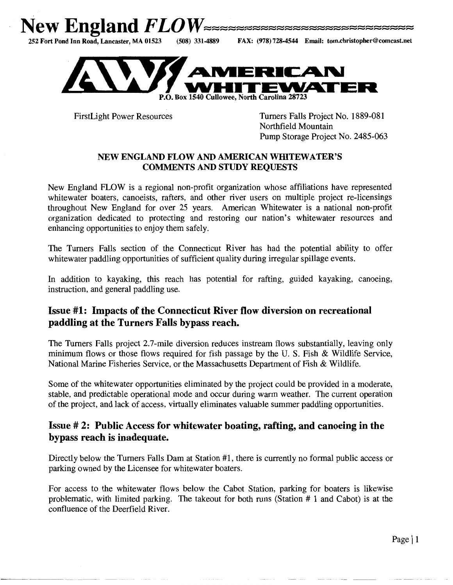



FirstLight Power Resources

--------- ----~-- --

Turners Falls Project No. 1889-081 Northfield Mountain Pump Storage Project No. 2485-063

#### NEW ENGLAND FLOW AND AMERICAN WHITEWATER'S COMMENTS AND STUDY REQUESTS

New England FLOW is a regional non-profit organization whose affiliations have represented whitewater boaters, canoeists, rafters, and other river users on multiple project re-licensings throughout New England for over 25 years. American Whitewater is a national non-profit organization dedicated to protecting and restoring our nation's whitewater resources and enhancing opportunities to enjoy them safely.

The Turners Falls section of the Connecticut River has had the potential ability to offer whitewater paddling opportunities of sufficient quality during irregular spillage events.

In addition to kayaking, this reach has potential for rafting, guided kayaking, canoeing, instruction, and general paddling use.

# Issue #1: Impacts of the Connecticut River flow diversion on recreational paddling at the Turners Falls bypass reach.

The Turners Falls project 2.7-mile diversion reduces instream flows substantially, leaving only minimum flows or those flows required for fish passage by the U. S. Fish & Wildlife Service, National Marine Fisheries Service, or the Massachusetts Department of Fish & Wildlife.

Some of the whitewater opportunities eliminated by the project could be provided in a moderate, stable, and predictable operational mode and occur during warm weather. The current operation of the project, and lack of access, virtually eliminates valuable summer paddling opportunities.

#### Issue# 2: Public Access for whitewater boating, rafting, and canoeing in the bypass reach is inadequate.

Directly below the Turners Falls Dam at Station #1, there is currently no formal public access or parking owned by the Licensee for whitewater boaters.

For access to the whitewater flows below the Cabot Station, parking for boaters is likewise problematic, with limited parking. The takeout for both runs (Station # 1 and Cabot) is at the confluence of the Deerfield River.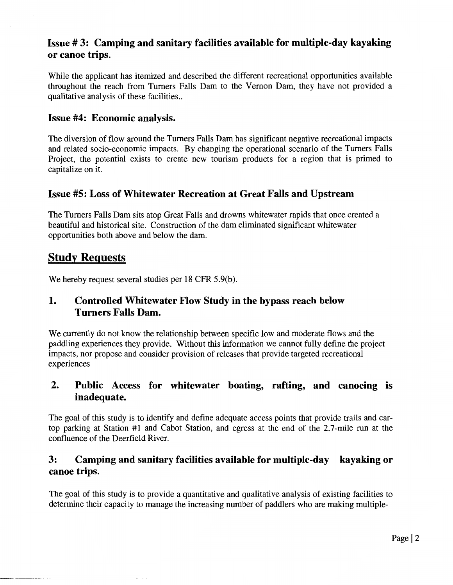# **Issue # 3: Camping and sanitary facilities available for multiple-day kayaking or canoe trips.**

While the applicant has itemized and described the different recreational opportunities available throughout the reach from Turners Falls Dam to the Vernon Dam, they have not provided a qualitative analysis of these facilities..

#### **Issue #4: Economic analysis.**

The diversion of flow around the Turners Falls Dam has significant negative recreational impacts and related socio-economic impacts. By changing the operational scenario of the Turners Falls Project, the potential exists to create new tourism products for a region that is primed to capitalize on it.

### **Issue #5: Loss of Whitewater Recreation at Great Falls and Upstream**

The Turners Falls Dam sits atop Great Falls and drowns whitewater rapids that once created a beautiful and historical site. Construction of the dam eliminated significant whitewater opportunities both above and below the dam.

# **Study Requests**

We hereby request several studies per 18 CFR 5.9(b).

### **1. Controlled Whitewater Flow Study in the bypass reach below Turners Falls Dam.**

We currently do not know the relationship between specific low and moderate flows and the paddling experiences they provide. Without this information we cannot fully define the project impacts, nor propose and consider provision of releases that provide targeted recreational experiences

# **2. Public Access for whitewater boating, rafting, and canoeing is inadequate.**

The goal of this study is to identify and define adequate access points that provide trails and cartop parking at Station #1 and Cabot Station, and egress at the end of the 2.7-mile run at the confluence of the Deerfield River.

# **3: Camping and sanitary facilities available for multiple-day kayaking or canoe trips.**

The goal of this study is to provide a quantitative and qualitative analysis of existing facilities to determine their capacity to manage the increasing number of paddlers who are making multiple